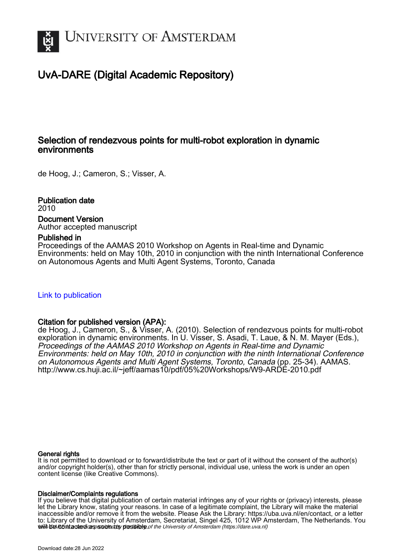

# UvA-DARE (Digital Academic Repository)

# Selection of rendezvous points for multi-robot exploration in dynamic environments

de Hoog, J.; Cameron, S.; Visser, A.

Publication date 2010 Document Version Author accepted manuscript

# Published in

Proceedings of the AAMAS 2010 Workshop on Agents in Real-time and Dynamic Environments: held on May 10th, 2010 in conjunction with the ninth International Conference on Autonomous Agents and Multi Agent Systems, Toronto, Canada

# [Link to publication](https://dare.uva.nl/personal/pure/en/publications/selection-of-rendezvous-points-for-multirobot-exploration-in-dynamic-environments(5c906743-03c2-4f48-b6af-3a8cee018c54).html)

# Citation for published version (APA):

de Hoog, J., Cameron, S., & Visser, A. (2010). Selection of rendezvous points for multi-robot exploration in dynamic environments. In U. Visser, S. Asadi, T. Laue, & N. M. Mayer (Eds.), Proceedings of the AAMAS 2010 Workshop on Agents in Real-time and Dynamic Environments: held on May 10th, 2010 in conjunction with the ninth International Conference on Autonomous Agents and Multi Agent Systems, Toronto, Canada (pp. 25-34). AAMAS. <http://www.cs.huji.ac.il/~jeff/aamas10/pdf/05%20Workshops/W9-ARDE-2010.pdf>

## General rights

It is not permitted to download or to forward/distribute the text or part of it without the consent of the author(s) and/or copyright holder(s), other than for strictly personal, individual use, unless the work is under an open content license (like Creative Commons).

## Disclaimer/Complaints regulations

will be cortacted as soon as postial to the University of Amsterdam (https://dare.uva.nl) If you believe that digital publication of certain material infringes any of your rights or (privacy) interests, please let the Library know, stating your reasons. In case of a legitimate complaint, the Library will make the material inaccessible and/or remove it from the website. Please Ask the Library: https://uba.uva.nl/en/contact, or a letter to: Library of the University of Amsterdam, Secretariat, Singel 425, 1012 WP Amsterdam, The Netherlands. You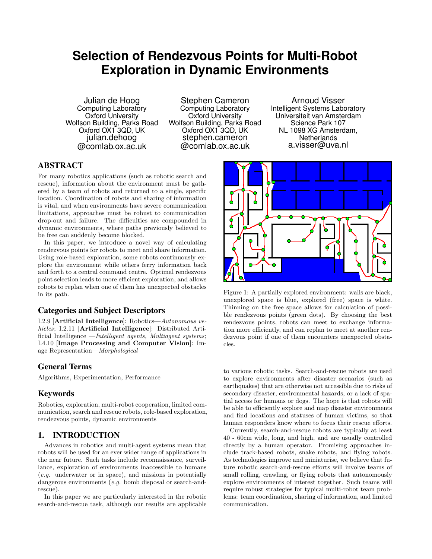# **Selection of Rendezvous Points for Multi-Robot Exploration in Dynamic Environments**

Julian de Hoog Computing Laboratory Oxford University Wolfson Building, Parks Road Oxford OX1 3QD, UK julian.dehoog @comlab.ox.ac.uk

Stephen Cameron Computing Laboratory Oxford University Wolfson Building, Parks Road Oxford OX1 3QD, UK stephen.cameron @comlab.ox.ac.uk

Arnoud Visser Intelligent Systems Laboratory Universiteit van Amsterdam Science Park 107 NL 1098 XG Amsterdam, **Netherlands** a.visser@uva.nl

# ABSTRACT

For many robotics applications (such as robotic search and rescue), information about the environment must be gathered by a team of robots and returned to a single, specific location. Coordination of robots and sharing of information is vital, and when environments have severe communication limitations, approaches must be robust to communication drop-out and failure. The difficulties are compounded in dynamic environments, where paths previously believed to be free can suddenly become blocked.

In this paper, we introduce a novel way of calculating rendezvous points for robots to meet and share information. Using role-based exploration, some robots continuously explore the environment while others ferry information back and forth to a central command centre. Optimal rendezvous point selection leads to more efficient exploration, and allows robots to replan when one of them has unexpected obstacles in its path.

# Categories and Subject Descriptors

I.2.9 [Artificial Intelligence]: Robotics—Autonomous vehicles; I.2.11 [Artificial Intelligence]: Distributed Artificial Intelligence —Intelligent agents, Multiagent systems; I.4.10 [Image Processing and Computer Vision]: Image Representation—Morphological

# General Terms

Algorithms, Experimentation, Performance

# Keywords

Robotics, exploration, multi-robot cooperation, limited communication, search and rescue robots, role-based exploration, rendezvous points, dynamic environments

## 1. INTRODUCTION

Advances in robotics and multi-agent systems mean that robots will be used for an ever wider range of applications in the near future. Such tasks include reconnaissance, surveillance, exploration of environments inaccessible to humans (e.g. underwater or in space), and missions in potentially dangerous environments (e.g. bomb disposal or search-andrescue).

In this paper we are particularly interested in the robotic search-and-rescue task, although our results are applicable



Figure 1: A partially explored environment: walls are black, unexplored space is blue, explored (free) space is white. Thinning on the free space allows for calculation of possible rendezvous points (green dots). By choosing the best rendezvous points, robots can meet to exchange information more efficiently, and can replan to meet at another rendezvous point if one of them encounters unexpected obstacles.

to various robotic tasks. Search-and-rescue robots are used to explore environments after disaster scenarios (such as earthquakes) that are otherwise not accessible due to risks of secondary disaster, environmental hazards, or a lack of spatial access for humans or dogs. The hope is that robots will be able to efficiently explore and map disaster environments and find locations and statuses of human victims, so that human responders know where to focus their rescue efforts.

Currently, search-and-rescue robots are typically at least 40 - 60cm wide, long, and high, and are usually controlled directly by a human operator. Promising approaches include track-based robots, snake robots, and flying robots. As technologies improve and miniaturise, we believe that future robotic search-and-rescue efforts will involve teams of small rolling, crawling, or flying robots that autonomously explore environments of interest together. Such teams will require robust strategies for typical multi-robot team problems: team coordination, sharing of information, and limited communication.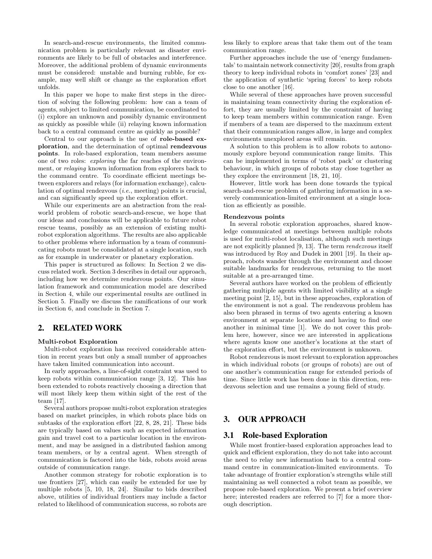In search-and-rescue environments, the limited communication problem is particularly relevant as disaster environments are likely to be full of obstacles and interference. Moreover, the additional problem of dynamic environments must be considered: unstable and burning rubble, for example, may well shift or change as the exploration effort unfolds.

In this paper we hope to make first steps in the direction of solving the following problem: how can a team of agents, subject to limited communication, be coordinated to (i) explore an unknown and possibly dynamic environment as quickly as possible while (ii) relaying known information back to a central command centre as quickly as possible?

Central to our approach is the use of role-based exploration, and the determination of optimal rendezvous points. In role-based exploration, team members assume one of two roles: exploring the far reaches of the environment, or relaying known information from explorers back to the command centre. To coordinate efficient meetings between explorers and relays (for information exchange), calculation of optimal rendezvous (i.e., meeting) points is crucial, and can significantly speed up the exploration effort.

While our experiments are an abstraction from the realworld problem of robotic search-and-rescue, we hope that our ideas and conclusions will be applicable to future robot rescue teams, possibly as an extension of existing multirobot exploration algorithms. The results are also applicable to other problems where information by a team of communicating robots must be consolidated at a single location, such as for example in underwater or planetary exploration.

This paper is structured as follows: In Section 2 we discuss related work. Section 3 describes in detail our approach, including how we determine rendezvous points. Our simulation framework and communication model are described in Section 4, while our experimental results are outlined in Section 5. Finally we discuss the ramifications of our work in Section 6, and conclude in Section 7.

## 2. RELATED WORK

#### Multi-robot Exploration

Multi-robot exploration has received considerable attention in recent years but only a small number of approaches have taken limited communication into account.

In early approaches, a line-of-sight constraint was used to keep robots within communication range [3, 12]. This has been extended to robots reactively choosing a direction that will most likely keep them within sight of the rest of the team [17].

Several authors propose multi-robot exploration strategies based on market principles, in which robots place bids on subtasks of the exploration effort [22, 8, 28, 21]. These bids are typically based on values such as expected information gain and travel cost to a particular location in the environment, and may be assigned in a distributed fashion among team members, or by a central agent. When strength of communication is factored into the bids, robots avoid areas outside of communication range.

Another common strategy for robotic exploration is to use frontiers [27], which can easily be extended for use by multiple robots [5, 10, 18, 24]. Similar to bids described above, utilities of individual frontiers may include a factor related to likelihood of communication success, so robots are

less likely to explore areas that take them out of the team communication range.

Further approaches include the use of 'energy fundamentals' to maintain network connectivity [20], results from graph theory to keep individual robots in 'comfort zones' [23] and the application of synthetic 'spring forces' to keep robots close to one another [16].

While several of these approaches have proven successful in maintaining team connectivity during the exploration effort, they are usually limited by the constraint of having to keep team members within communication range. Even if members of a team are dispersed to the maximum extent that their communication ranges allow, in large and complex environments unexplored areas will remain.

A solution to this problem is to allow robots to autonomously explore beyond communication range limits. This can be implemented in terms of 'robot pack' or clustering behaviour, in which groups of robots stay close together as they explore the environment [18, 21, 10].

However, little work has been done towards the typical search-and-rescue problem of gathering information in a severely communication-limited environment at a single location as efficiently as possible.

#### Rendezvous points

In several robotic exploration approaches, shared knowledge communicated at meetings between multiple robots is used for multi-robot localisation, although such meetings are not explicitly planned [9, 13]. The term rendezvous itself was introduced by Roy and Dudek in 2001 [19]. In their approach, robots wander through the environment and choose suitable landmarks for rendezvous, returning to the most suitable at a pre-arranged time.

Several authors have worked on the problem of efficiently gathering multiple agents with limited visibility at a single meeting point [2, 15], but in these approaches, exploration of the environment is not a goal. The rendezvous problem has also been phrased in terms of two agents entering a known environment at separate locations and having to find one another in minimal time [1]. We do not cover this problem here, however, since we are interested in applications where agents know one another's locations at the start of the exploration effort, but the environment is unknown.

Robot rendezvous is most relevant to exploration approaches in which individual robots (or groups of robots) are out of one another's communication range for extended periods of time. Since little work has been done in this direction, rendezvous selection and use remains a young field of study.

# 3. OUR APPROACH

#### 3.1 Role-based Exploration

While most frontier-based exploration approaches lead to quick and efficient exploration, they do not take into account the need to relay new information back to a central command centre in communication-limited environments. To take advantage of frontier exploration's strengths while still maintaining as well connected a robot team as possible, we propose role-based exploration. We present a brief overview here; interested readers are referred to [7] for a more thorough description.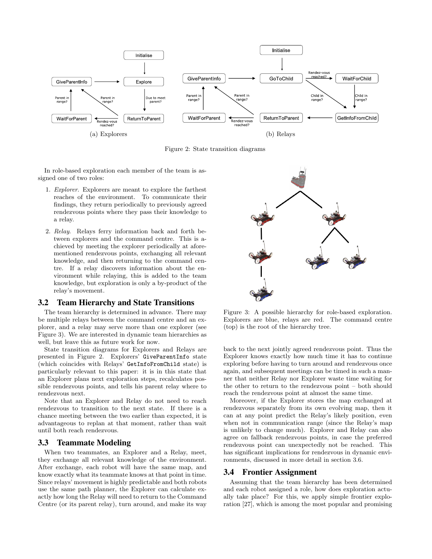

Figure 2: State transition diagrams

In role-based exploration each member of the team is assigned one of two roles:

- 1. Explorer. Explorers are meant to explore the farthest reaches of the environment. To communicate their findings, they return periodically to previously agreed rendezvous points where they pass their knowledge to a relay.
- 2. Relay. Relays ferry information back and forth between explorers and the command centre. This is achieved by meeting the explorer periodically at aforementioned rendezvous points, exchanging all relevant knowledge, and then returning to the command centre. If a relay discovers information about the environment while relaying, this is added to the team knowledge, but exploration is only a by-product of the relay's movement.

### 3.2 Team Hierarchy and State Transitions

The team hierarchy is determined in advance. There may be multiple relays between the command centre and an explorer, and a relay may serve more than one explorer (see Figure 3). We are interested in dynamic team hierarchies as well, but leave this as future work for now.

State transition diagrams for Explorers and Relays are presented in Figure 2. Explorers' GiveParentInfo state (which coincides with Relays' GetInfoFromChild state) is particularly relevant to this paper: it is in this state that an Explorer plans next exploration steps, recalculates possible rendezvous points, and tells his parent relay where to rendezvous next.

Note that an Explorer and Relay do not need to reach rendezvous to transition to the next state. If there is a chance meeting between the two earlier than expected, it is advantageous to replan at that moment, rather than wait until both reach rendezvous.

#### 3.3 Teammate Modeling

When two teammates, an Explorer and a Relay, meet, they exchange all relevant knowledge of the environment. After exchange, each robot will have the same map, and know exactly what its teammate knows at that point in time. Since relays' movement is highly predictable and both robots use the same path planner, the Explorer can calculate exactly how long the Relay will need to return to the Command Centre (or its parent relay), turn around, and make its way



Figure 3: A possible hierarchy for role-based exploration. Explorers are blue, relays are red. The command centre (top) is the root of the hierarchy tree.

back to the next jointly agreed rendezvous point. Thus the Explorer knows exactly how much time it has to continue exploring before having to turn around and rendezvous once again, and subsequent meetings can be timed in such a manner that neither Relay nor Explorer waste time waiting for the other to return to the rendezvous point – both should reach the rendezvous point at almost the same time.

Moreover, if the Explorer stores the map exchanged at rendezvous separately from its own evolving map, then it can at any point predict the Relay's likely position, even when not in communication range (since the Relay's map is unlikely to change much). Explorer and Relay can also agree on fallback rendezvous points, in case the preferred rendezvous point can unexpectedly not be reached. This has significant implications for rendezvous in dynamic environments, discussed in more detail in section 3.6.

#### 3.4 Frontier Assignment

Assuming that the team hierarchy has been determined and each robot assigned a role, how does exploration actually take place? For this, we apply simple frontier exploration [27], which is among the most popular and promising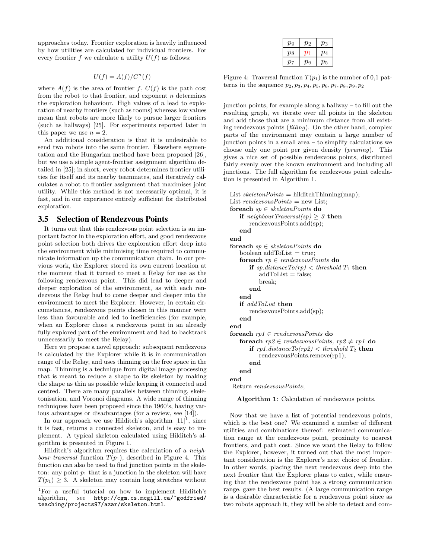approaches today. Frontier exploration is heavily influenced by how utilities are calculated for individual frontiers. For every frontier f we calculate a utility  $U(f)$  as follows:

$$
U(f) = A(f)/C^n(f)
$$

where  $A(f)$  is the area of frontier f,  $C(f)$  is the path cost from the robot to that frontier, and exponent  $n$  determines the exploration behaviour. High values of  $n$  lead to exploration of nearby frontiers (such as rooms) whereas low values mean that robots are more likely to pursue larger frontiers (such as hallways) [25]. For experiments reported later in this paper we use  $n = 2$ .

An additional consideration is that it is undesirable to send two robots into the same frontier. Elsewhere segmentation and the Hungarian method have been proposed [26], but we use a simple agent-frontier assignment algorithm detailed in [25]; in short, every robot determines frontier utilities for itself and its nearby teammates, and iteratively calculates a robot to frontier assignment that maximises joint utility. While this method is not necessarily optimal, it is fast, and in our experience entirely sufficient for distributed exploration.

## 3.5 Selection of Rendezvous Points

It turns out that this rendezvous point selection is an important factor in the exploration effort, and good rendezvous point selection both drives the exploration effort deep into the environment while minimising time required to communicate information up the communication chain. In our previous work, the Explorer stored its own current location at the moment that it turned to meet a Relay for use as the following rendezvous point. This did lead to deeper and deeper exploration of the environment, as with each rendezvous the Relay had to come deeper and deeper into the environment to meet the Explorer. However, in certain circumstances, rendezvous points chosen in this manner were less than favourable and led to inefficiencies (for example, when an Explorer chose a rendezvous point in an already fully explored part of the environment and had to backtrack unnecessarily to meet the Relay).

Here we propose a novel approach: subsequent rendezvous is calculated by the Explorer while it is in communication range of the Relay, and uses thinning on the free space in the map. Thinning is a technique from digital image processing that is meant to reduce a shape to its skeleton by making the shape as thin as possible while keeping it connected and centred. There are many parallels between thinning, skeletonisation, and Voronoi diagrams. A wide range of thinning techniques have been proposed since the 1960's, having various advantages or disadvantages (for a review, see [14]).

In our approach we use Hilditch's algorithm  $[11]$ <sup>1</sup>, since it is fast, returns a connected skeleton, and is easy to implement. A typical skeleton calculated using Hilditch's algorithm is presented in Figure 1.

Hilditch's algorithm requires the calculation of a neighbour traversal function  $T(p_1)$ , described in Figure 4. This function can also be used to find junction points in the skeleton: any point  $p_1$  that is a junction in the skeleton will have  $T(p_1) \geq 3$ . A skeleton may contain long stretches without

| $p_9$   |         | 23 |
|---------|---------|----|
| $p_{8}$ |         | Ό4 |
|         | $\,p_6$ | D5 |

Figure 4: Traversal function  $T(p_1)$  is the number of 0,1 patterns in the sequence  $p_2, p_3, p_4, p_5, p_6, p_7, p_8, p_9, p_2$ 

junction points, for example along a hallway – to fill out the resulting graph, we iterate over all points in the skeleton and add those that are a minimum distance from all existing rendezvous points (filling). On the other hand, complex parts of the environment may contain a large number of junction points in a small area – to simplify calculations we choose only one point per given density (pruning). This gives a nice set of possible rendezvous points, distributed fairly evenly over the known environment and including all junctions. The full algorithm for rendezvous point calculation is presented in Algorithm 1.

```
List skeletonPoints = \text{hilditchThinning}(\text{map});List rendezvousPoints = new List;
foreach sp \in skeletonPoints do
   if neighborTraversal(sp) > 3 then
      rendezvousPoints.add(sp);
   end
end
foreach sp \in skeletonPoints do
   boolean addToList = true;foreach rp \in \mathit{rendezvousPoints} do
      if sp.distance To(rp) < threshold T_1 then
          addToList = false;break;
      end
   end
   if addToList then
      rendezvousPoints.add(sp);
   end
end
foreach rp1 \in \mathit{rendezvousPoints} do
   foreach rp2 \in \text{rendezvousPoints}, rp2 \neq rp1 do
      if rp1.distanceTo(rp2) < threshold T_2 then
          rendezvousPoints.remove(rp1);
      end
   end
end
Return rendezvousPoints;
```
Algorithm 1: Calculation of rendezvous points.

Now that we have a list of potential rendezvous points, which is the best one? We examined a number of different utilities and combinations thereof: estimated communication range at the rendezvous point, proximity to nearest frontiers, and path cost. Since we want the Relay to follow the Explorer, however, it turned out that the most important consideration is the Explorer's next choice of frontier. In other words, placing the next rendezvous deep into the next frontier that the Explorer plans to enter, while ensuring that the rendezvous point has a strong communication range, gave the best results. (A large communication range is a desirable characteristic for a rendezvous point since as two robots approach it, they will be able to detect and com-

<sup>&</sup>lt;sup>1</sup>For a useful tutorial on how to implement Hilditch's algorithm, see http://cgm.cs.mcgill.ca/~godfried/ see http://cgm.cs.mcgill.ca/~godfried/ teaching/projects97/azar/skeleton.html.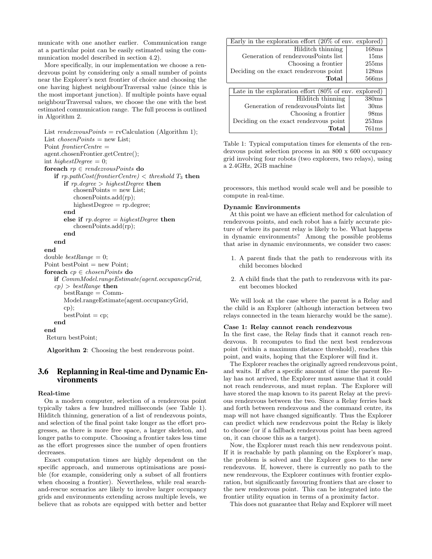municate with one another earlier. Communication range at a particular point can be easily estimated using the communication model described in section 4.2).

More specifically, in our implementation we choose a rendezvous point by considering only a small number of points near the Explorer's next frontier of choice and choosing the one having highest neighbourTraversal value (since this is the most important junction). If multiple points have equal neighbourTraversal values, we choose the one with the best estimated communication range. The full process is outlined in Algorithm 2.

```
List readexousPoints = \text{rvCalculation (Algorithm 1)};
List chosenPoints = new List;
Point frontierCentre =
agent.chosenFrontier.getCentre();
int highestDegree = 0;
foreach rp \in \mathit{rendezvousPoints} do
   if rp.pathCost(fromtierCentre) < threshold T_3 then
      if rp.degee > highestDegree then
          \text{chosenPoints} = \text{new List};chosenPoints.add(rp);
          highestDegree = rp.degree;end
      else if rp.degree = highestDegree then
          chosenPoints.add(rp);
      end
   end
end
double bestRange = 0;Point bestPoint = new Point;
foreach cp \in chosenPoints do
   if CommModel.rangeEstimate(agent.occupancyGrid,
   cp) > bestRange then
      bestRange = Comm-Model.rangeEstimate(agent.occupancyGrid,
      cp);
      bestPoint = cp;end
end
Return bestPoint;
```
Algorithm 2: Choosing the best rendezvous point.

## 3.6 Replanning in Real-time and Dynamic Environments

#### Real-time

On a modern computer, selection of a rendezvous point typically takes a few hundred milliseconds (see Table 1). Hilditch thinning, generation of a list of rendezvous points, and selection of the final point take longer as the effort progresses, as there is more free space, a larger skeleton, and longer paths to compute. Choosing a frontier takes less time as the effort progresses since the number of open frontiers decreases.

Exact computation times are highly dependent on the specific approach, and numerous optimisations are possible (for example, considering only a subset of all frontiers when choosing a frontier). Nevertheless, while real searchand-rescue scenarios are likely to involve larger occupancy grids and environments extending across multiple levels, we believe that as robots are equipped with better and better

| Early in the exploration effort $(20\% \text{ of env. explored})$ |                   |  |
|-------------------------------------------------------------------|-------------------|--|
| Hilditch thinning                                                 | 168ms             |  |
| Generation of rendezyous Points list                              | 15 <sub>ms</sub>  |  |
| Choosing a frontier                                               | 255ms             |  |
| Deciding on the exact rendezvous point                            | 128ms             |  |
| Total                                                             | 566ms             |  |
|                                                                   |                   |  |
| Late in the exploration effort $(80\% \text{ of env. explored})$  |                   |  |
| Hilditch thinning                                                 | 380 <sub>ms</sub> |  |
| Generation of rendezvousPoints list                               | 30 <sub>ms</sub>  |  |
| Choosing a frontier                                               | 98ms              |  |
| Deciding on the exact rendezvous point                            | 253ms             |  |
| Total                                                             | 761ms             |  |

Table 1: Typical computation times for elements of the rendezvous point selection process in an 800 x 600 occupancy grid involving four robots (two explorers, two relays), using a 2.4GHz, 2GB machine

processors, this method would scale well and be possible to compute in real-time.

#### Dynamic Environments

At this point we have an efficient method for calculation of rendezvous points, and each robot has a fairly accurate picture of where its parent relay is likely to be. What happens in dynamic environments? Among the possible problems that arise in dynamic environments, we consider two cases:

- 1. A parent finds that the path to rendezvous with its child becomes blocked
- 2. A child finds that the path to rendezvous with its parent becomes blocked

We will look at the case where the parent is a Relay and the child is an Explorer (although interaction between two relays connected in the team hierarchy would be the same).

#### Case 1: Relay cannot reach rendezvous

In the first case, the Relay finds that it cannot reach rendezvous. It recomputes to find the next best rendezvous point (within a maximum distance threshold), reaches this point, and waits, hoping that the Explorer will find it.

The Explorer reaches the originally agreed rendezvous point, and waits. If after a specific amount of time the parent Relay has not arrived, the Explorer must assume that it could not reach rendezvous, and must replan. The Explorer will have stored the map known to its parent Relay at the previous rendezvous between the two. Since a Relay ferries back and forth between rendezvous and the command centre, its map will not have changed significantly. Thus the Explorer can predict which new rendezvous point the Relay is likely to choose (or if a fallback rendezvous point has been agreed on, it can choose this as a target).

Now, the Explorer must reach this new rendezvous point. If it is reachable by path planning on the Explorer's map, the problem is solved and the Explorer goes to the new rendezvous. If, however, there is currently no path to the new rendezvous, the Explorer continues with frontier exploration, but significantly favouring frontiers that are closer to the new rendezvous point. This can be integrated into the frontier utility equation in terms of a proximity factor.

This does not guarantee that Relay and Explorer will meet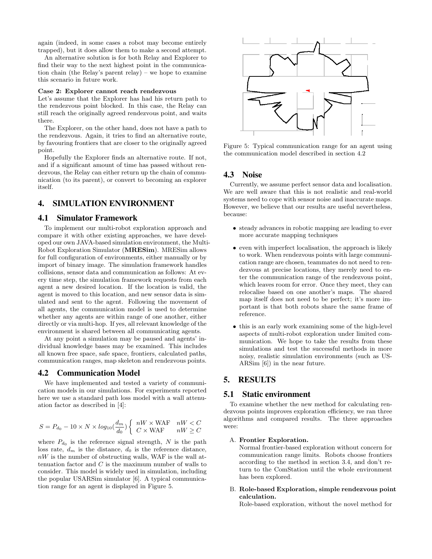again (indeed, in some cases a robot may become entirely trapped), but it does allow them to make a second attempt.

An alternative solution is for both Relay and Explorer to find their way to the next highest point in the communication chain (the Relay's parent relay) – we hope to examine this scenario in future work.

#### Case 2: Explorer cannot reach rendezvous

Let's assume that the Explorer has had his return path to the rendezvous point blocked. In this case, the Relay can still reach the originally agreed rendezvous point, and waits there.

The Explorer, on the other hand, does not have a path to the rendezvous. Again, it tries to find an alternative route, by favouring frontiers that are closer to the originally agreed point.

Hopefully the Explorer finds an alternative route. If not, and if a significant amount of time has passed without rendezvous, the Relay can either return up the chain of communication (to its parent), or convert to becoming an explorer itself.

## 4. SIMULATION ENVIRONMENT

### 4.1 Simulator Framework

To implement our multi-robot exploration approach and compare it with other existing approaches, we have developed our own JAVA-based simulation environment, the Multi-Robot Exploration Simulator (MRESim). MRESim allows for full configuration of environments, either manually or by import of binary image. The simulation framework handles collisions, sensor data and communication as follows: At every time step, the simulation framework requests from each agent a new desired location. If the location is valid, the agent is moved to this location, and new sensor data is simulated and sent to the agent. Following the movement of all agents, the communication model is used to determine whether any agents are within range of one another, either directly or via multi-hop. If yes, all relevant knowledge of the environment is shared between all communicating agents.

At any point a simulation may be paused and agents' individual knowledge bases may be examined. This includes all known free space, safe space, frontiers, calculated paths, communication ranges, map skeleton and rendezvous points.

### 4.2 Communication Model

We have implemented and tested a variety of communication models in our simulations. For experiments reported here we use a standard path loss model with a wall attenuation factor as described in [4]:

$$
S = P_{d_0} - 10 \times N \times log_{10}(\frac{d_m}{d_0}) \left\{ \begin{array}{ll} nW \times \text{WAF} & nW < C \\ C \times \text{WAF} & nW \ge C \end{array} \right.
$$

where  $P_{d_0}$  is the reference signal strength, N is the path loss rate,  $d_m$  is the distance,  $d_0$  is the reference distance,  $nW$  is the number of obstructing walls, WAF is the wall attenuation factor and  $C$  is the maximum number of walls to consider. This model is widely used in simulation, including the popular USARSim simulator [6]. A typical communication range for an agent is displayed in Figure 5.



Figure 5: Typical communication range for an agent using the communication model described in section 4.2

## 4.3 Noise

Currently, we assume perfect sensor data and localisation. We are well aware that this is not realistic and real-world systems need to cope with sensor noise and inaccurate maps. However, we believe that our results are useful nevertheless, because:

- steady advances in robotic mapping are leading to ever more accurate mapping techniques
- even with imperfect localisation, the approach is likely to work. When rendezvous points with large communication range are chosen, teammates do not need to rendezvous at precise locations, they merely need to enter the communication range of the rendezvous point, which leaves room for error. Once they meet, they can relocalise based on one another's maps. The shared map itself does not need to be perfect; it's more important is that both robots share the same frame of reference.
- this is an early work examining some of the high-level aspects of multi-robot exploration under limited communication. We hope to take the results from these simulations and test the successful methods in more noisy, realistic simulation environments (such as US-ARSim [6]) in the near future.

### 5. RESULTS

#### 5.1 Static environment

To examine whether the new method for calculating rendezvous points improves exploration efficiency, we ran three algorithms and compared results. The three approaches were:

#### A. Frontier Exploration.

Normal frontier-based exploration without concern for communication range limits. Robots choose frontiers according to the method in section 3.4, and don't return to the ComStation until the whole environment has been explored.

#### B. Role-based Exploration, simple rendezvous point calculation.

Role-based exploration, without the novel method for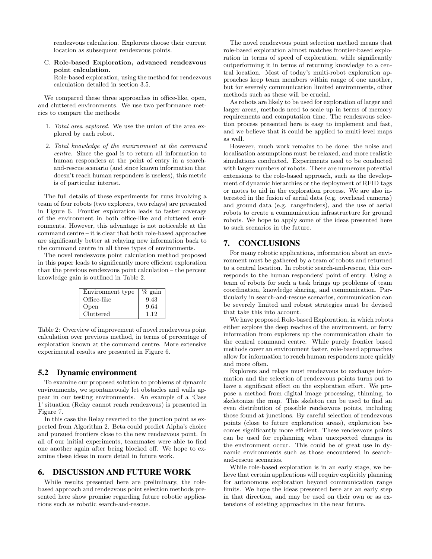rendezvous calculation. Explorers choose their current location as subsequent rendezvous points.

C. Role-based Exploration, advanced rendezvous point calculation.

Role-based exploration, using the method for rendezvous calculation detailed in section 3.5.

We compared these three approaches in office-like, open, and cluttered environments. We use two performance metrics to compare the methods:

- 1. Total area explored. We use the union of the area explored by each robot.
- 2. Total knowledge of the environment at the command centre. Since the goal is to return all information to human responders at the point of entry in a searchand-rescue scenario (and since known information that doesn't reach human responders is useless), this metric is of particular interest.

The full details of these experiments for runs involving a team of four robots (two explorers, two relays) are presented in Figure 6. Frontier exploration leads to faster coverage of the environment in both office-like and cluttered environments. However, this advantage is not noticeable at the command centre – it is clear that both role-based approaches are significantly better at relaying new information back to the command centre in all three types of environments.

The novel rendezvous point calculation method proposed in this paper leads to significantly more efficient exploration than the previous rendezvous point calculation – the percent knowledge gain is outlined in Table 2.

| Environment type | $\%$ gain |
|------------------|-----------|
| Office-like      | 9.43      |
| Open             | 9.64      |
| Cluttered        | 112       |

Table 2: Overview of improvement of novel rendezvous point calculation over previous method, in terms of percentage of exploration known at the command centre. More extensive experimental results are presented in Figure 6.

### 5.2 Dynamic environment

To examine our proposed solution to problems of dynamic environments, we spontaneously let obstacles and walls appear in our testing environments. An example of a 'Case 1' situation (Relay cannot reach rendezvous) is presented in Figure 7.

In this case the Relay reverted to the junction point as expected from Algorithm 2. Beta could predict Alpha's choice and pursued frontiers close to the new rendezvous point. In all of our initial experiments, teammates were able to find one another again after being blocked off. We hope to examine these ideas in more detail in future work.

#### 6. DISCUSSION AND FUTURE WORK

While results presented here are preliminary, the rolebased approach and rendezvous point selection methods presented here show promise regarding future robotic applications such as robotic search-and-rescue.

The novel rendezvous point selection method means that role-based exploration almost matches frontier-based exploration in terms of speed of exploration, while significantly outperforming it in terms of returning knowledge to a central location. Most of today's multi-robot exploration approaches keep team members within range of one another, but for severely communication limited environments, other methods such as these will be crucial.

As robots are likely to be used for exploration of larger and larger areas, methods need to scale up in terms of memory requirements and computation time. The rendezvous selection process presented here is easy to implement and fast, and we believe that it could be applied to multi-level maps as well.

However, much work remains to be done: the noise and localisation assumptions must be relaxed, and more realistic simulations conducted. Experiments need to be conducted with larger numbers of robots. There are numerous potential extensions to the role-based approach, such as the development of dynamic hierarchies or the deployment of RFID tags or motes to aid in the exploration process. We are also interested in the fusion of aerial data (e.g. overhead cameras) and ground data (e.g. rangefinders), and the use of aerial robots to create a communication infrastructure for ground robots. We hope to apply some of the ideas presented here to such scenarios in the future.

# 7. CONCLUSIONS

For many robotic applications, information about an environment must be gathered by a team of robots and returned to a central location. In robotic search-and-rescue, this corresponds to the human responders' point of entry. Using a team of robots for such a task brings up problems of team coordination, knowledge sharing, and communication. Particularly in search-and-rescue scenarios, communication can be severely limited and robust strategies must be devised that take this into account.

We have proposed Role-based Exploration, in which robots either explore the deep reaches of the environment, or ferry information from explorers up the communication chain to the central command centre. While purely frontier based methods cover an environment faster, role-based approaches allow for information to reach human responders more quickly and more often.

Explorers and relays must rendezvous to exchange information and the selection of rendezvous points turns out to have a significant effect on the exploration effort. We propose a method from digital image processing, thinning, to skeletonize the map. This skeleton can be used to find an even distribution of possible rendezvous points, including those found at junctions. By careful selection of rendezvous points (close to future exploration areas), exploration becomes significantly more efficient. These rendezvous points can be used for replanning when unexpected changes in the environment occur. This could be of great use in dynamic environments such as those encountered in searchand-rescue scenarios.

While role-based exploration is in an early stage, we believe that certain applications will require explicitly planning for autonomous exploration beyond communication range limits. We hope the ideas presented here are an early step in that direction, and may be used on their own or as extensions of existing approaches in the near future.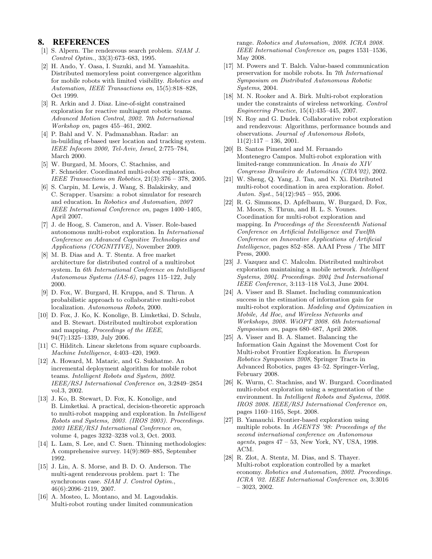## 8. REFERENCES

- [1] S. Alpern. The rendezvous search problem. SIAM J. Control Optim., 33(3):673–683, 1995.
- [2] H. Ando, Y. Oasa, I. Suzuki, and M. Yamashita. Distributed memoryless point convergence algorithm for mobile robots with limited visibility. Robotics and Automation, IEEE Transactions on, 15(5):818–828, Oct 1999.
- [3] R. Arkin and J. Diaz. Line-of-sight constrained exploration for reactive multiagent robotic teams. Advanced Motion Control, 2002. 7th International Workshop on, pages 455–461, 2002.
- [4] P. Bahl and V. N. Padmanabhan. Radar: an in-building rf-based user location and tracking system. IEEE Infocom 2000, Tel-Aviv, Israel, 2:775–784, March 2000.
- [5] W. Burgard, M. Moors, C. Stachniss, and F. Schneider. Coordinated multi-robot exploration. IEEE Transactions on Robotics, 21(3):376 – 378, 2005.
- [6] S. Carpin, M. Lewis, J. Wang, S. Balakirsky, and C. Scrapper. Usarsim: a robot simulator for research and education. In Robotics and Automation, 2007 IEEE International Conference on, pages 1400–1405, April 2007.
- [7] J. de Hoog, S. Cameron, and A. Visser. Role-based autonomous multi-robot exploration. In International Conference on Advanced Cognitive Technologies and Applications (COGNITIVE), November 2009.
- [8] M. B. Dias and A. T. Stentz. A free market architecture for distributed control of a multirobot system. In 6th International Conference on Intelligent Autonomous Systems (IAS-6), pages 115–122, July 2000.
- [9] D. Fox, W. Burgard, H. Kruppa, and S. Thrun. A probabilistic approach to collaborative multi-robot localization. Autonomous Robots, 2000.
- [10] D. Fox, J. Ko, K. Konolige, B. Limketkai, D. Schulz, and B. Stewart. Distributed multirobot exploration and mapping. Proceedings of the IEEE, 94(7):1325–1339, July 2006.
- [11] C. Hilditch. Linear skeletons from square cupboards. Machine Intelligence, 4:403–420, 1969.
- [12] A. Howard, M. Mataric, and G. Sukhatme. An incremental deployment algorithm for mobile robot teams. Intelligent Robots and System, 2002. IEEE/RSJ International Conference on, 3:2849–2854 vol.3, 2002.
- [13] J. Ko, B. Stewart, D. Fox, K. Konolige, and B. Limketkai. A practical, decision-theoretic approach to multi-robot mapping and exploration. In Intelligent Robots and Systems, 2003. (IROS 2003). Proceedings. 2003 IEEE/RSJ International Conference on, volume 4, pages 3232–3238 vol.3, Oct. 2003.
- [14] L. Lam, S. Lee, and C. Suen. Thinning methodologies: A comprehensive survey. 14(9):869–885, September 1992.
- [15] J. Lin, A. S. Morse, and B. D. O. Anderson. The multi-agent rendezvous problem. part 1: The synchronous case. SIAM J. Control Optim., 46(6):2096–2119, 2007.
- [16] A. Mosteo, L. Montano, and M. Lagoudakis. Multi-robot routing under limited communication

range. Robotics and Automation, 2008. ICRA 2008. IEEE International Conference on, pages 1531–1536, May 2008.

- [17] M. Powers and T. Balch. Value-based communication preservation for mobile robots. In 7th International Symposium on Distributed Autonomous Robotic Systems, 2004.
- [18] M. N. Rooker and A. Birk. Multi-robot exploration under the constraints of wireless networking. Control Engineering Practice, 15(4):435–445, 2007.
- [19] N. Roy and G. Dudek. Collaborative robot exploration and rendezvous: Algorithms, performance bounds and observations. Journal of Autonomous Robots,  $11(2):117 - 136$ , 2001.
- [20] B. Santos Pimentel and M. Fernando Montenegro Campos. Multi-robot exploration with limited-range communication. In Anais do XIV Congresso Brasileiro de Automática (CBA'02), 2002.
- [21] W. Sheng, Q. Yang, J. Tan, and N. Xi. Distributed multi-robot coordination in area exploration. Robot. Auton. Syst.,  $54(12):945 - 955$ , 2006.
- [22] R. G. Simmons, D. Apfelbaum, W. Burgard, D. Fox, M. Moors, S. Thrun, and H. L. S. Younes. Coordination for multi-robot exploration and mapping. In Proceedings of the Seventeenth National Conference on Artificial Intelligence and Twelfth Conference on Innovative Applications of Artificial Intelligence, pages 852–858. AAAI Press / The MIT Press, 2000.
- [23] J. Vazquez and C. Malcolm. Distributed multirobot exploration maintaining a mobile network. Intelligent Systems, 2004. Proceedings. 2004 2nd International IEEE Conference, 3:113–118 Vol.3, June 2004.
- [24] A. Visser and B. Slamet. Including communication success in the estimation of information gain for multi-robot exploration. Modeling and Optimization in Mobile, Ad Hoc, and Wireless Networks and Workshops, 2008. WiOPT 2008. 6th International Symposium on, pages 680–687, April 2008.
- [25] A. Visser and B. A. Slamet. Balancing the Information Gain Against the Movement Cost for Multi-robot Frontier Exploration. In European Robotics Symposium 2008, Springer Tracts in Advanced Robotics, pages 43–52. Springer-Verlag, February 2008.
- [26] K. Wurm, C. Stachniss, and W. Burgard. Coordinated multi-robot exploration using a segmentation of the environment. In Intelligent Robots and Systems, 2008. IROS 2008. IEEE/RSJ International Conference on, pages 1160–1165, Sept. 2008.
- [27] B. Yamauchi. Frontier-based exploration using multiple robots. In AGENTS '98: Proceedings of the second international conference on Autonomous agents, pages 47 – 53, New York, NY, USA, 1998. ACM.
- [28] R. Zlot, A. Stentz, M. Dias, and S. Thayer. Multi-robot exploration controlled by a market economy. Robotics and Automation, 2002. Proceedings. ICRA '02. IEEE International Conference on, 3:3016 – 3023, 2002.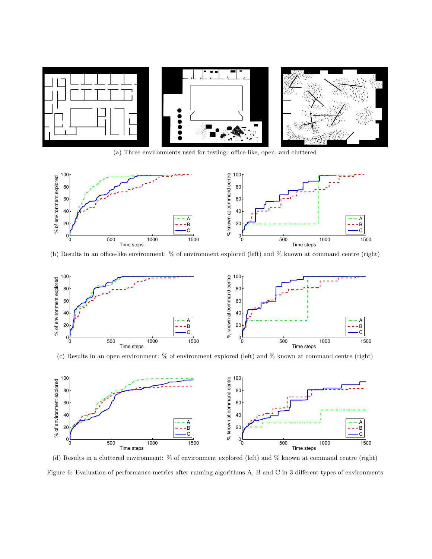

(a) Three environments used for testing: office-like, open, and cluttered



(b) Results in an office-like environment: % of environment explored (left) and % known at command centre (right)



(c) Results in an open environment: % of environment explored (left) and % known at command centre (right)



(d) Results in a cluttered environment: % of environment explored (left) and % known at command centre (right) Figure 6: Evaluation of performance metrics after running algorithms A, B and C in 3 different types of environments